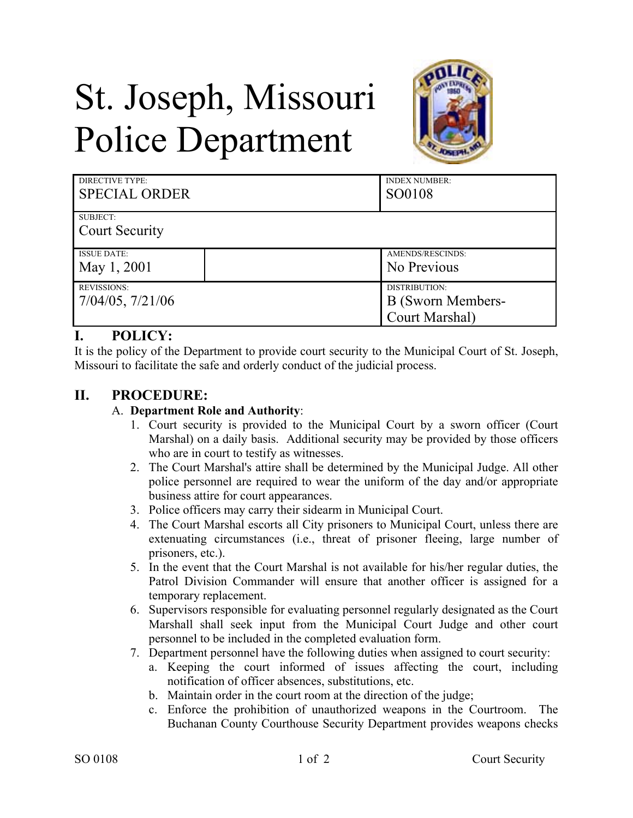# St. Joseph, Missouri Police Department



| <b>DIRECTIVE TYPE:</b>                 | <b>INDEX NUMBER:</b>                                        |
|----------------------------------------|-------------------------------------------------------------|
| <b>SPECIAL ORDER</b>                   | SO0108                                                      |
| SUBJECT:<br><b>Court Security</b>      |                                                             |
| <b>ISSUE DATE:</b>                     | AMENDS/RESCINDS:                                            |
| May 1, 2001                            | No Previous                                                 |
| <b>REVISSIONS:</b><br>7/04/05, 7/21/06 | DISTRIBUTION:<br><b>B</b> (Sworn Members-<br>Court Marshal) |

# **I. POLICY:**

It is the policy of the Department to provide court security to the Municipal Court of St. Joseph, Missouri to facilitate the safe and orderly conduct of the judicial process.

# **II. PROCEDURE:**

## A. **Department Role and Authority**:

- 1. Court security is provided to the Municipal Court by a sworn officer (Court Marshal) on a daily basis. Additional security may be provided by those officers who are in court to testify as witnesses.
- 2. The Court Marshal's attire shall be determined by the Municipal Judge. All other police personnel are required to wear the uniform of the day and/or appropriate business attire for court appearances.
- 3. Police officers may carry their sidearm in Municipal Court.
- 4. The Court Marshal escorts all City prisoners to Municipal Court, unless there are extenuating circumstances (i.e., threat of prisoner fleeing, large number of prisoners, etc.).
- 5. In the event that the Court Marshal is not available for his/her regular duties, the Patrol Division Commander will ensure that another officer is assigned for a temporary replacement.
- 6. Supervisors responsible for evaluating personnel regularly designated as the Court Marshall shall seek input from the Municipal Court Judge and other court personnel to be included in the completed evaluation form.
- 7. Department personnel have the following duties when assigned to court security:
	- a. Keeping the court informed of issues affecting the court, including notification of officer absences, substitutions, etc.
	- b. Maintain order in the court room at the direction of the judge;
	- c. Enforce the prohibition of unauthorized weapons in the Courtroom. The Buchanan County Courthouse Security Department provides weapons checks